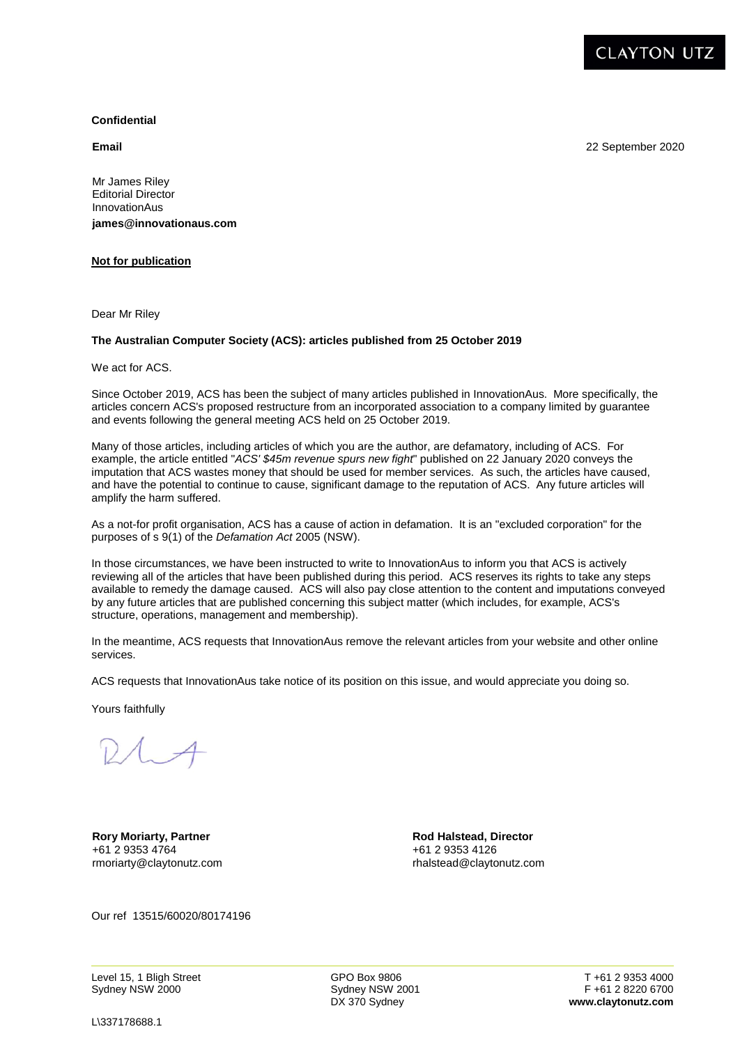

22 September 2020

## **Confidential**

**Email**

Mr James Riley Editorial Director InnovationAus **james@innovationaus.com** 

## **Not for publication**

Dear Mr Riley

## **The Australian Computer Society (ACS): articles published from 25 October 2019**

We act for ACS.

Since October 2019, ACS has been the subject of many articles published in InnovationAus. More specifically, the articles concern ACS's proposed restructure from an incorporated association to a company limited by guarantee and events following the general meeting ACS held on 25 October 2019.

Many of those articles, including articles of which you are the author, are defamatory, including of ACS. For example, the article entitled "*ACS' \$45m revenue spurs new fight*" published on 22 January 2020 conveys the imputation that ACS wastes money that should be used for member services. As such, the articles have caused, and have the potential to continue to cause, significant damage to the reputation of ACS. Any future articles will amplify the harm suffered.

As a not-for profit organisation, ACS has a cause of action in defamation. It is an "excluded corporation" for the purposes of s 9(1) of the *Defamation Act* 2005 (NSW).

In those circumstances, we have been instructed to write to InnovationAus to inform you that ACS is actively reviewing all of the articles that have been published during this period. ACS reserves its rights to take any steps available to remedy the damage caused. ACS will also pay close attention to the content and imputations conveyed by any future articles that are published concerning this subject matter (which includes, for example, ACS's structure, operations, management and membership).

In the meantime, ACS requests that InnovationAus remove the relevant articles from your website and other online services.

ACS requests that InnovationAus take notice of its position on this issue, and would appreciate you doing so.

Yours faithfully

**Rory Moriarty, Partner**  +61 2 9353 4764 rmoriarty@claytonutz.com

**Rod Halstead, Director**  +61 2 9353 4126 rhalstead@claytonutz.com

Our ref 13515/60020/80174196

Level 15, 1 Bligh Street Sydney NSW 2000

GPO Box 9806 Sydney NSW 2001 DX 370 Sydney